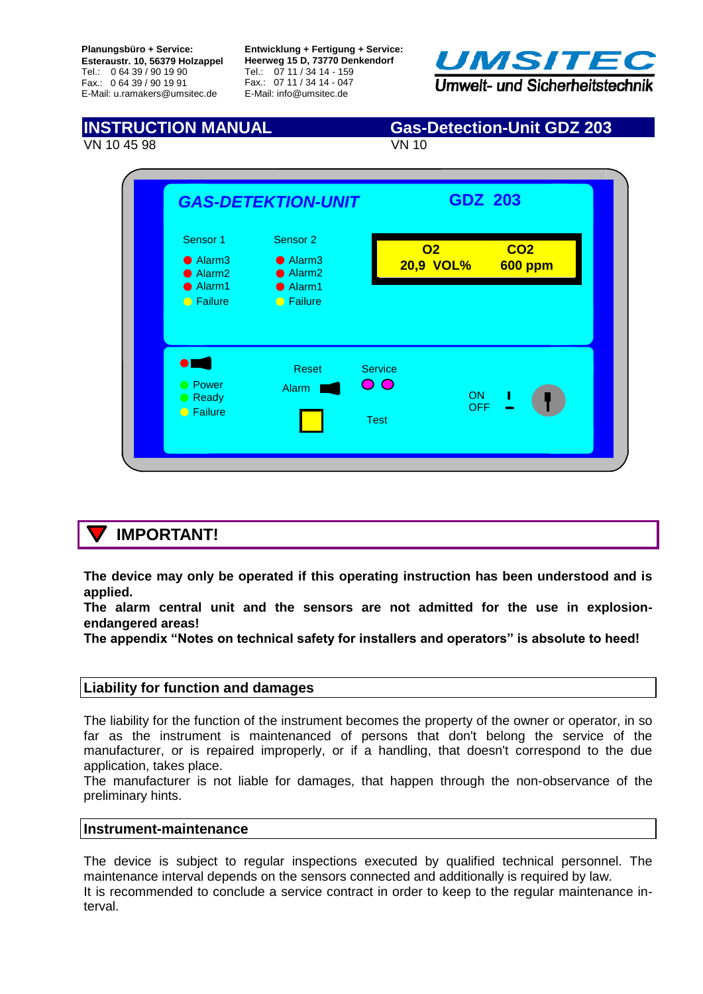**Planungsbüro + Service: Esteraustr. 10, 56379 Holzappel** Tel.: 0 64 39 / 90 19 90 Fax.: 0 64 39 / 90 19 91 E-Mail: u.ramakers@umsitec.de

**Entwicklung + Fertigung + Service: Heerweg 15 D, 73770 Denkendorf** Tel.: 07 11 / 34 14 - 159 Fax.: 07 11 / 34 14 - 047 E-Mail: info@umsitec.de



VN 10 45 98 VN 10

## **INSTRUCTION MANUAL Gas-Detection-Unit GDZ 203**



## **IMPORTANT!**

**The device may only be operated if this operating instruction has been understood and is applied.** 

**The alarm central unit and the sensors are not admitted for the use in explosionendangered areas!** 

**The appendix "Notes on technical safety for installers and operators" is absolute to heed!**

## **Liability for function and damages**

The liability for the function of the instrument becomes the property of the owner or operator, in so far as the instrument is maintenanced of persons that don't belong the service of the manufacturer, or is repaired improperly, or if a handling, that doesn't correspond to the due application, takes place.

The manufacturer is not liable for damages, that happen through the non-observance of the preliminary hints.

## **Instrument-maintenance**

The device is subject to regular inspections executed by qualified technical personnel. The maintenance interval depends on the sensors connected and additionally is required by law. It is recommended to conclude a service contract in order to keep to the regular maintenance interval.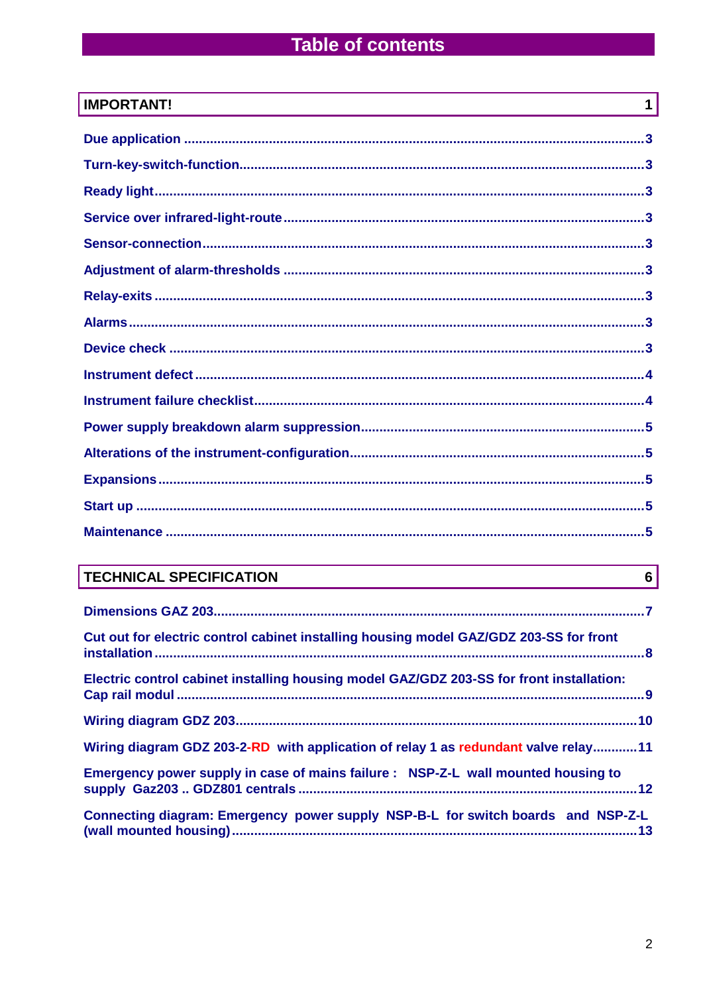# **Table of contents**

| <b>IMPORTANT!</b> | 1 |
|-------------------|---|
|                   |   |
|                   |   |
|                   |   |
|                   |   |
|                   |   |
|                   |   |
|                   |   |
|                   |   |
|                   |   |
|                   |   |
|                   |   |
|                   |   |
|                   |   |
|                   |   |
|                   |   |
|                   |   |

# **TECHNICAL SPECIFICATION**

| Cut out for electric control cabinet installing housing model GAZ/GDZ 203-SS for front   |  |
|------------------------------------------------------------------------------------------|--|
| Electric control cabinet installing housing model GAZ/GDZ 203-SS for front installation: |  |
|                                                                                          |  |
| Wiring diagram GDZ 203-2-RD with application of relay 1 as redundant valve relay11       |  |
| Emergency power supply in case of mains failure : NSP-Z-L wall mounted housing to        |  |
| Connecting diagram: Emergency power supply NSP-B-L for switch boards and NSP-Z-L         |  |

 $\overline{6}$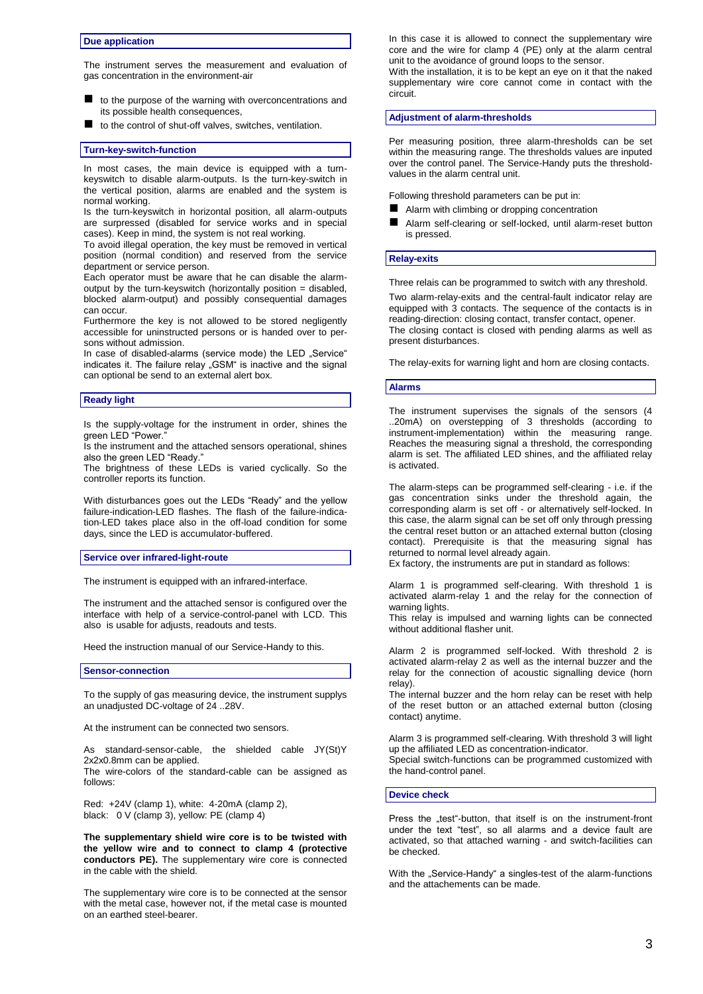#### **Due application**

The instrument serves the measurement and evaluation of gas concentration in the environment-air

- to the purpose of the warning with overconcentrations and its possible health consequences,
- $\blacksquare$  to the control of shut-off valves, switches, ventilation.

#### **Turn-key-switch-function**

In most cases, the main device is equipped with a turnkeyswitch to disable alarm-outputs. Is the turn-key-switch in the vertical position, alarms are enabled and the system is normal working.

Is the turn-keyswitch in horizontal position, all alarm-outputs are surpressed (disabled for service works and in special cases). Keep in mind, the system is not real working.

To avoid illegal operation, the key must be removed in vertical position (normal condition) and reserved from the service department or service person.

Each operator must be aware that he can disable the alarmoutput by the turn-keyswitch (horizontally position = disabled, blocked alarm-output) and possibly consequential damages can occur.

Furthermore the key is not allowed to be stored negligently accessible for uninstructed persons or is handed over to persons without admission.

In case of disabled-alarms (service mode) the LED "Service" indicates it. The failure relay "GSM" is inactive and the signal can optional be send to an external alert box.

#### **Ready light**

Is the supply-voltage for the instrument in order, shines the green LED "Power."

Is the instrument and the attached sensors operational, shines also the green LED "Ready.

The brightness of these LEDs is varied cyclically. So the controller reports its function.

With disturbances goes out the LEDs "Ready" and the yellow failure-indication-LED flashes. The flash of the failure-indication-LED takes place also in the off-load condition for some days, since the LED is accumulator-buffered.

#### **Service over infrared-light-route**

The instrument is equipped with an infrared-interface.

The instrument and the attached sensor is configured over the interface with help of a service-control-panel with LCD. This also is usable for adjusts, readouts and tests.

Heed the instruction manual of our Service-Handy to this.

#### **Sensor-connection**

To the supply of gas measuring device, the instrument supplys an unadjusted DC-voltage of 24 ..28V.

At the instrument can be connected two sensors.

As standard-sensor-cable, the shielded cable JY(St)Y 2x2x0.8mm can be applied.

The wire-colors of the standard-cable can be assigned as follows:

Red: +24V (clamp 1), white: 4-20mA (clamp 2), black: 0 V (clamp 3), yellow: PE (clamp 4)

**The supplementary shield wire core is to be twisted with the yellow wire and to connect to clamp 4 (protective conductors PE).** The supplementary wire core is connected in the cable with the shield.

The supplementary wire core is to be connected at the sensor with the metal case, however not, if the metal case is mounted on an earthed steel-bearer.

In this case it is allowed to connect the supplementary wire core and the wire for clamp 4 (PE) only at the alarm central unit to the avoidance of ground loops to the sensor.

With the installation, it is to be kept an eye on it that the naked supplementary wire core cannot come in contact with the circuit.

#### **Adjustment of alarm-thresholds**

Per measuring position, three alarm-thresholds can be set within the measuring range. The thresholds values are inputed over the control panel. The Service-Handy puts the thresholdvalues in the alarm central unit.

Following threshold parameters can be put in:

- Alarm with climbing or dropping concentration
- Alarm self-clearing or self-locked, until alarm-reset button is pressed.

#### **Relay-exits**

Three relais can be programmed to switch with any threshold.

Two alarm-relay-exits and the central-fault indicator relay are equipped with 3 contacts. The sequence of the contacts is in reading-direction: closing contact, transfer contact, opener. The closing contact is closed with pending alarms as well as present disturbances.

The relay-exits for warning light and horn are closing contacts.

#### **Alarms**

The instrument supervises the signals of the sensors (4 ..20mA) on overstepping of 3 thresholds (according to instrument-implementation) within the measuring range. Reaches the measuring signal a threshold, the corresponding alarm is set. The affiliated LED shines, and the affiliated relay is activated.

The alarm-steps can be programmed self-clearing - i.e. if the gas concentration sinks under the threshold again, the corresponding alarm is set off - or alternatively self-locked. In this case, the alarm signal can be set off only through pressing the central reset button or an attached external button (closing contact). Prerequisite is that the measuring signal has returned to normal level already again.

Ex factory, the instruments are put in standard as follows:

Alarm 1 is programmed self-clearing. With threshold 1 is activated alarm-relay 1 and the relay for the connection of warning lights.

This relay is impulsed and warning lights can be connected without additional flasher unit.

Alarm 2 is programmed self-locked. With threshold 2 is activated alarm-relay 2 as well as the internal buzzer and the relay for the connection of acoustic signalling device (horn relay).

The internal buzzer and the horn relay can be reset with help of the reset button or an attached external button (closing contact) anytime.

Alarm 3 is programmed self-clearing. With threshold 3 will light up the affiliated LED as concentration-indicator.

Special switch-functions can be programmed customized with the hand-control panel.

#### **Device check**

Press the "test"-button, that itself is on the instrument-front under the text "test", so all alarms and a device fault are activated, so that attached warning - and switch-facilities can be checked.

With the "Service-Handy" a singles-test of the alarm-functions and the attachements can be made.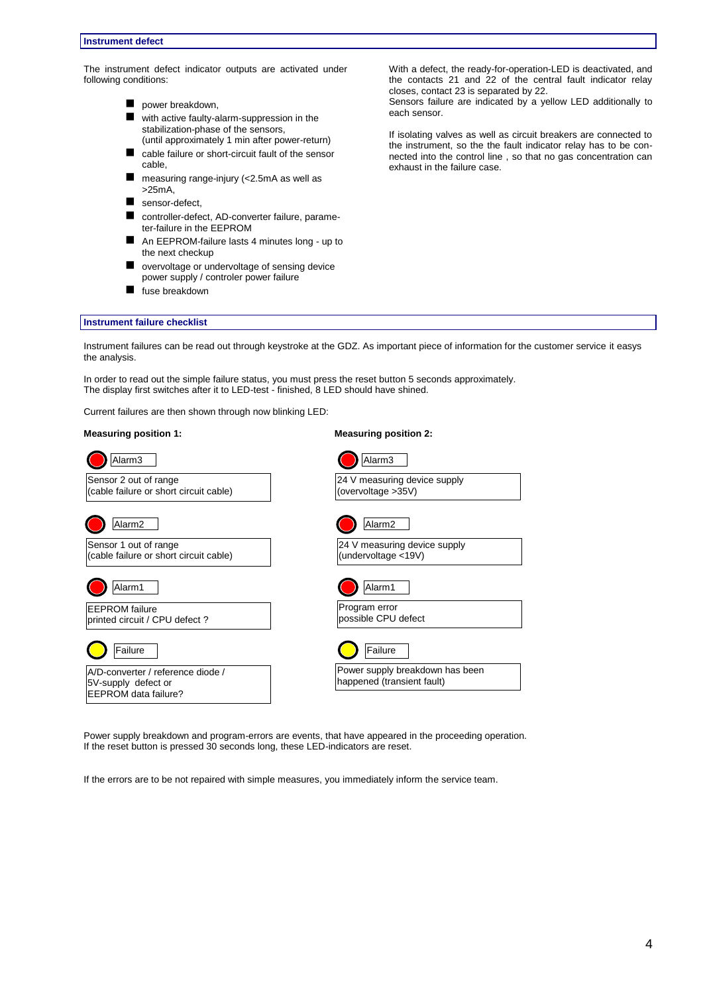The instrument defect indicator outputs are activated under following conditions:

- power breakdown,
- with active faulty-alarm-suppression in the stabilization-phase of the sensors, (until approximately 1 min after power-return)
- cable failure or short-circuit fault of the sensor cable,
- measuring range-injury (<2.5mA as well as >25mA,
- sensor-defect,
- controller-defect, AD-converter failure, parameter-failure in the EEPROM
- An EEPROM-failure lasts 4 minutes long up to the next checkup
- overvoltage or undervoltage of sensing device power supply / controler power failure
- **fuse breakdown**

With a defect, the ready-for-operation-LED is deactivated, and the contacts 21 and 22 of the central fault indicator relay closes, contact 23 is separated by 22.

Sensors failure are indicated by a yellow LED additionally to each sensor.

If isolating valves as well as circuit breakers are connected to the instrument, so the the fault indicator relay has to be connected into the control line , so that no gas concentration can exhaust in the failure case.

#### **Instrument failure checklist**

Instrument failures can be read out through keystroke at the GDZ. As important piece of information for the customer service it easys the analysis.

In order to read out the simple failure status, you must press the reset button 5 seconds approximately. The display first switches after it to LED-test - finished, 8 LED should have shined.

Current failures are then shown through now blinking LED:

### **Measuring position 1: Measuring position 2:**

| Alarm <sub>3</sub>                                              | Alarm <sub>3</sub>                                            |
|-----------------------------------------------------------------|---------------------------------------------------------------|
| Sensor 2 out of range<br>(cable failure or short circuit cable) | 24 V measuring device supply<br>(overvoltage > 35V)           |
| Alarm2                                                          | Alarm <sub>2</sub>                                            |
| Sensor 1 out of range<br>(cable failure or short circuit cable) | 24 V measuring device supply<br>(undervoltage <19V)           |
| Alarm1                                                          | Alarm1                                                        |
| <b>EEPROM</b> failure<br>printed circuit / CPU defect?          | Program error<br>possible CPU defect                          |
| Failure                                                         | Failure                                                       |
| A/D-converter / reference diode /<br>5V-supply defect or        | Power supply breakdown has been<br>happened (transient fault) |
| EEPROM data failure?                                            |                                                               |

Power supply breakdown and program-errors are events, that have appeared in the proceeding operation. If the reset button is pressed 30 seconds long, these LED-indicators are reset.

If the errors are to be not repaired with simple measures, you immediately inform the service team.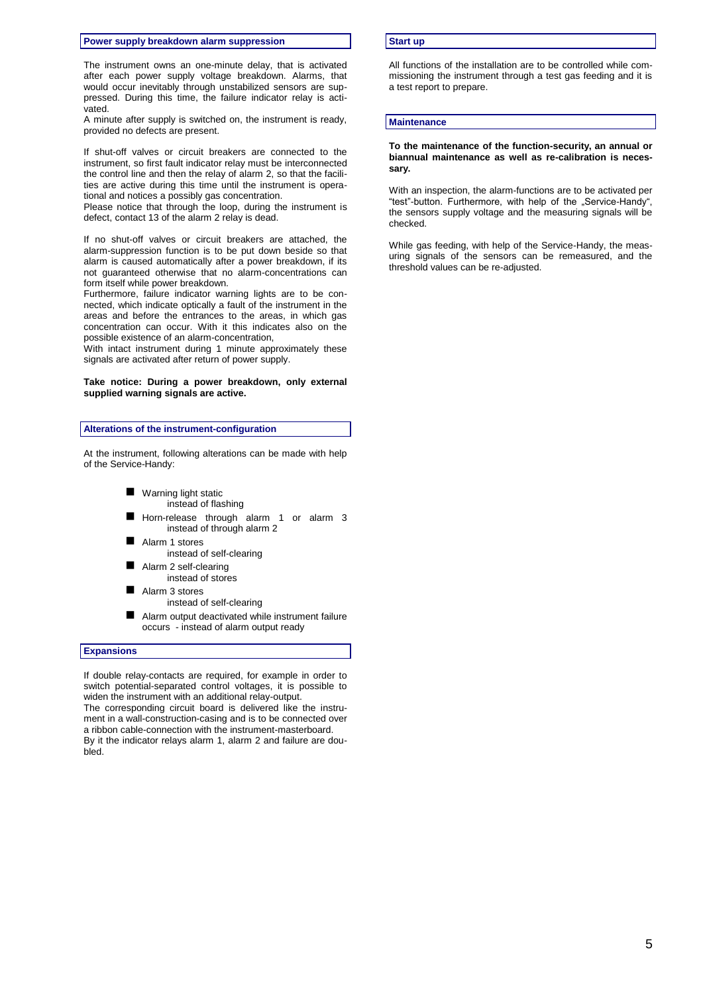#### **Power supply breakdown alarm suppression**

The instrument owns an one-minute delay, that is activated after each power supply voltage breakdown. Alarms, that would occur inevitably through unstabilized sensors are suppressed. During this time, the failure indicator relay is activated.

A minute after supply is switched on, the instrument is ready, provided no defects are present.

If shut-off valves or circuit breakers are connected to the instrument, so first fault indicator relay must be interconnected the control line and then the relay of alarm 2, so that the facilities are active during this time until the instrument is operational and notices a possibly gas concentration.

Please notice that through the loop, during the instrument is defect, contact 13 of the alarm 2 relay is dead.

If no shut-off valves or circuit breakers are attached, the alarm-suppression function is to be put down beside so that alarm is caused automatically after a power breakdown, if its not guaranteed otherwise that no alarm-concentrations can form itself while power breakdown.

Furthermore, failure indicator warning lights are to be connected, which indicate optically a fault of the instrument in the areas and before the entrances to the areas, in which gas concentration can occur. With it this indicates also on the possible existence of an alarm-concentration,

With intact instrument during 1 minute approximately these signals are activated after return of power supply.

### **Take notice: During a power breakdown, only external supplied warning signals are active.**

#### **Alterations of the instrument-configuration**

At the instrument, following alterations can be made with help of the Service-Handy:

- **Warning light static** instead of flashing
- Horn-release through alarm 1 or alarm 3 instead of through alarm 2
- Alarm 1 stores instead of self-clearing
- Alarm 2 self-clearing instead of stores
- Alarm 3 stores
	- instead of self-clearing
- Alarm output deactivated while instrument failure occurs - instead of alarm output ready

#### **Expansions**

If double relay-contacts are required, for example in order to switch potential-separated control voltages, it is possible to widen the instrument with an additional relay-output. The corresponding circuit board is delivered like the instrument in a wall-construction-casing and is to be connected over a ribbon cable-connection with the instrument-masterboard. By it the indicator relays alarm 1, alarm 2 and failure are doubled.

#### **Start up**

All functions of the installation are to be controlled while commissioning the instrument through a test gas feeding and it is a test report to prepare.

#### **Maintenance**

#### **To the maintenance of the function-security, an annual or biannual maintenance as well as re-calibration is necessary.**

With an inspection, the alarm-functions are to be activated per "test"-button. Furthermore, with help of the "Service-Handy", the sensors supply voltage and the measuring signals will be checked.

While gas feeding, with help of the Service-Handy, the measuring signals of the sensors can be remeasured, and the threshold values can be re-adjusted.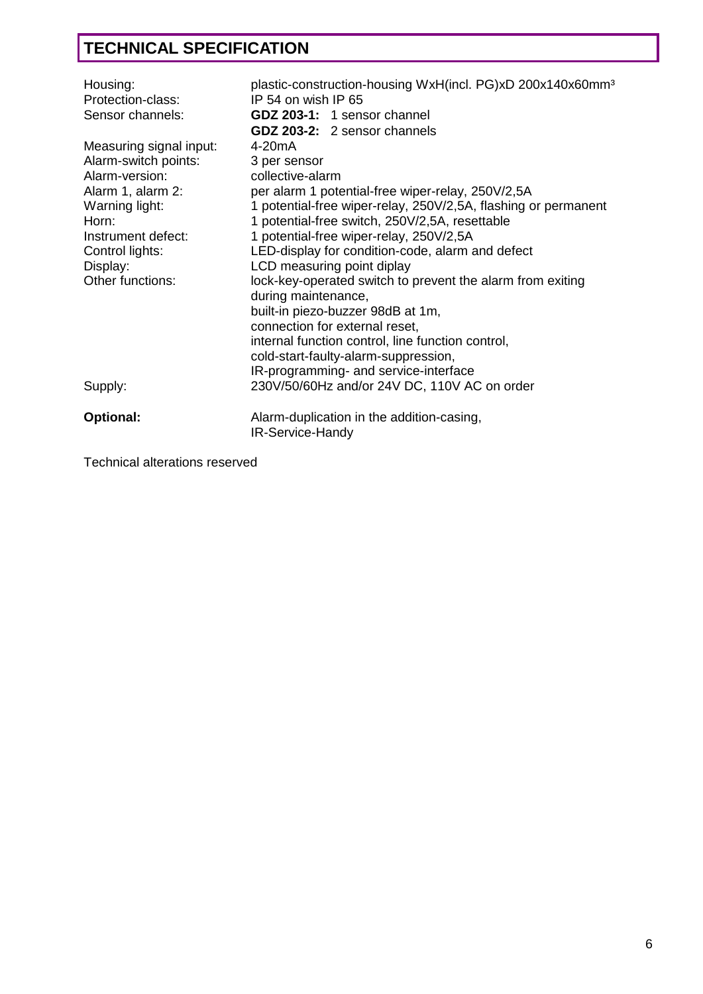# **TECHNICAL SPECIFICATION**

| Housing:<br>Protection-class:                                                                                                           | plastic-construction-housing WxH(incl. PG)xD 200x140x60mm <sup>3</sup><br>IP 54 on wish IP 65                                                                                                                                                                                                               |
|-----------------------------------------------------------------------------------------------------------------------------------------|-------------------------------------------------------------------------------------------------------------------------------------------------------------------------------------------------------------------------------------------------------------------------------------------------------------|
| Sensor channels:                                                                                                                        | GDZ 203-1: 1 sensor channel                                                                                                                                                                                                                                                                                 |
| Measuring signal input:<br>Alarm-switch points:<br>Alarm-version:<br>Alarm 1, alarm 2:<br>Warning light:<br>Horn:<br>Instrument defect: | GDZ 203-2: 2 sensor channels<br>4-20 <sub>m</sub> A<br>3 per sensor<br>collective-alarm<br>per alarm 1 potential-free wiper-relay, 250V/2,5A<br>1 potential-free wiper-relay, 250V/2,5A, flashing or permanent<br>1 potential-free switch, 250V/2,5A, resettable<br>1 potential-free wiper-relay, 250V/2,5A |
| Control lights:<br>Display:                                                                                                             | LED-display for condition-code, alarm and defect<br>LCD measuring point diplay                                                                                                                                                                                                                              |
| Other functions:                                                                                                                        | lock-key-operated switch to prevent the alarm from exiting<br>during maintenance,<br>built-in piezo-buzzer 98dB at 1m,<br>connection for external reset,<br>internal function control, line function control,<br>cold-start-faulty-alarm-suppression,<br>IR-programming- and service-interface              |
| Supply:                                                                                                                                 | 230V/50/60Hz and/or 24V DC, 110V AC on order                                                                                                                                                                                                                                                                |
| Optional:                                                                                                                               | Alarm-duplication in the addition-casing,<br>IR-Service-Handy                                                                                                                                                                                                                                               |

Technical alterations reserved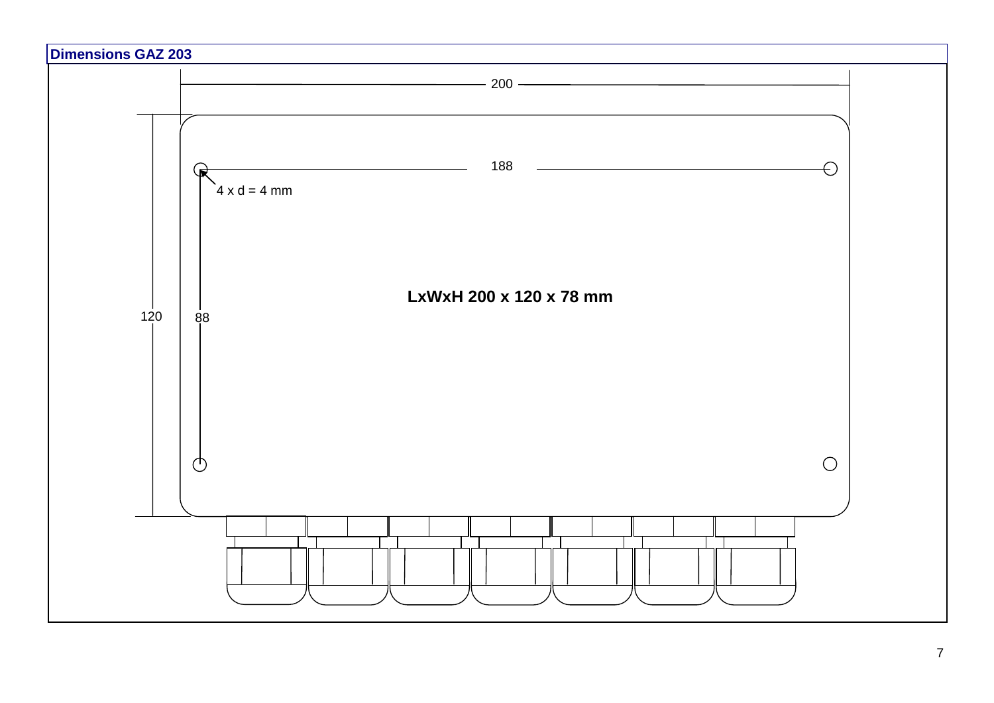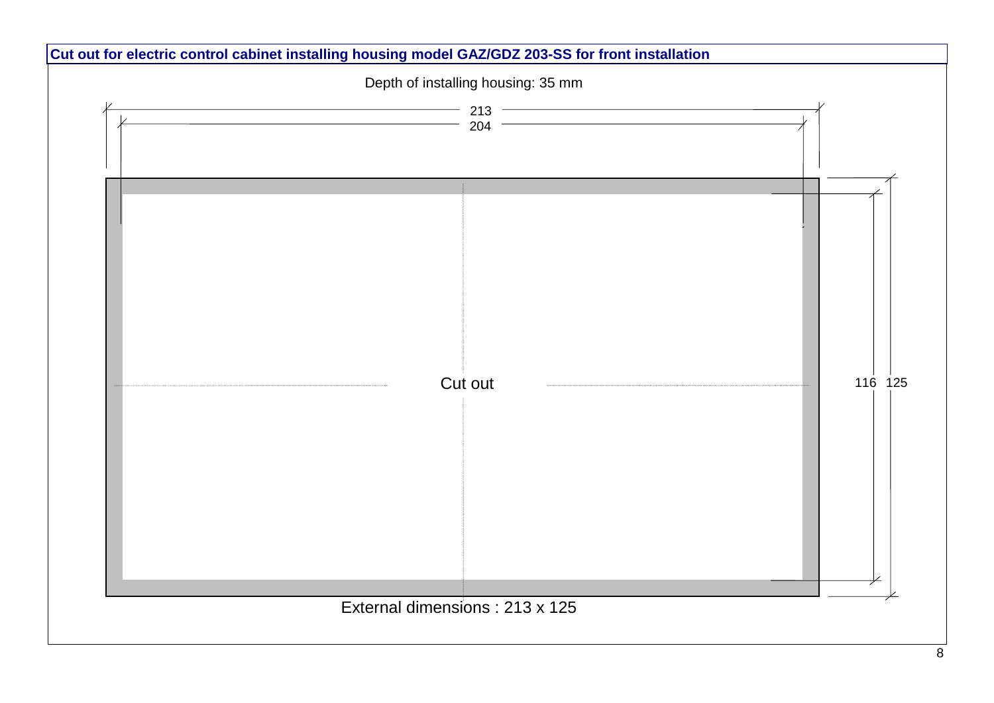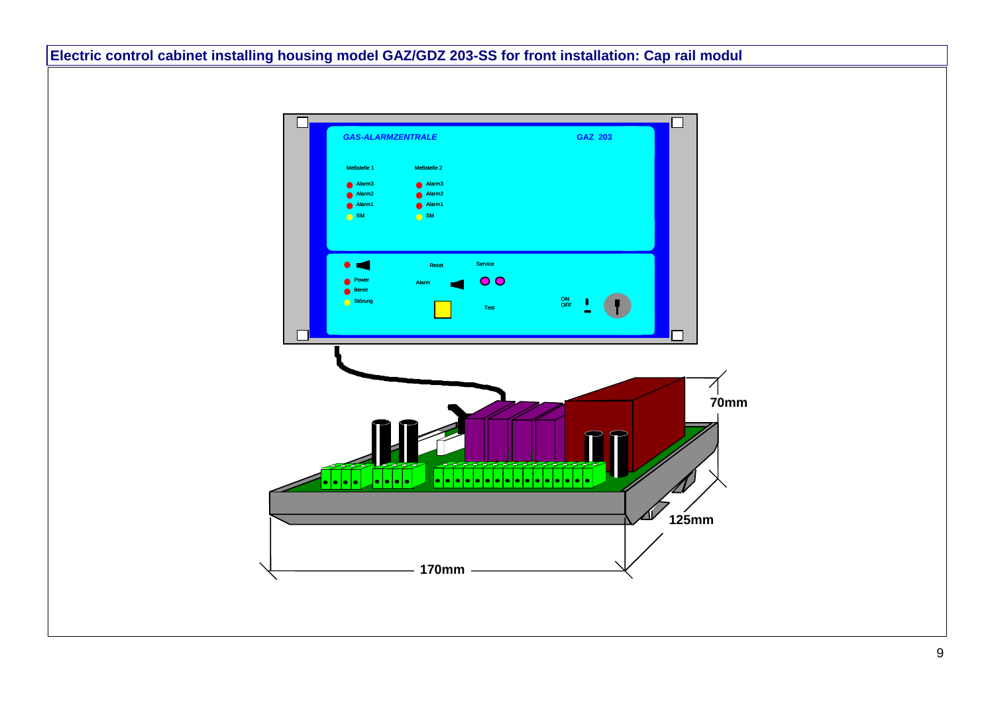**Electric control cabinet installing housing model GAZ/GDZ 203-SS for front installation: Cap rail modul**

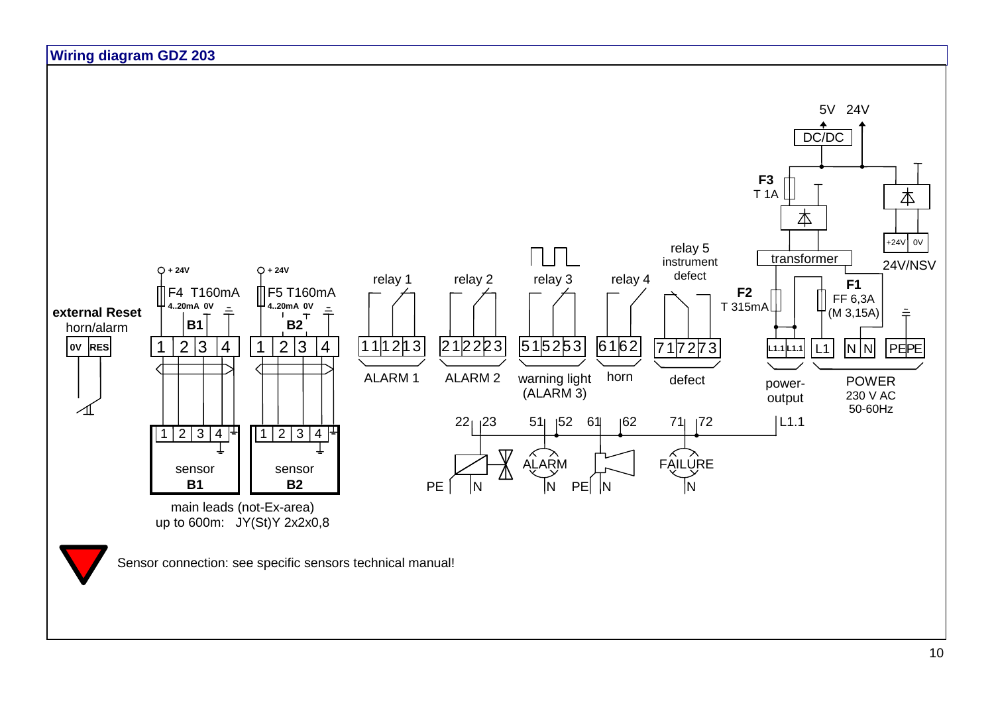

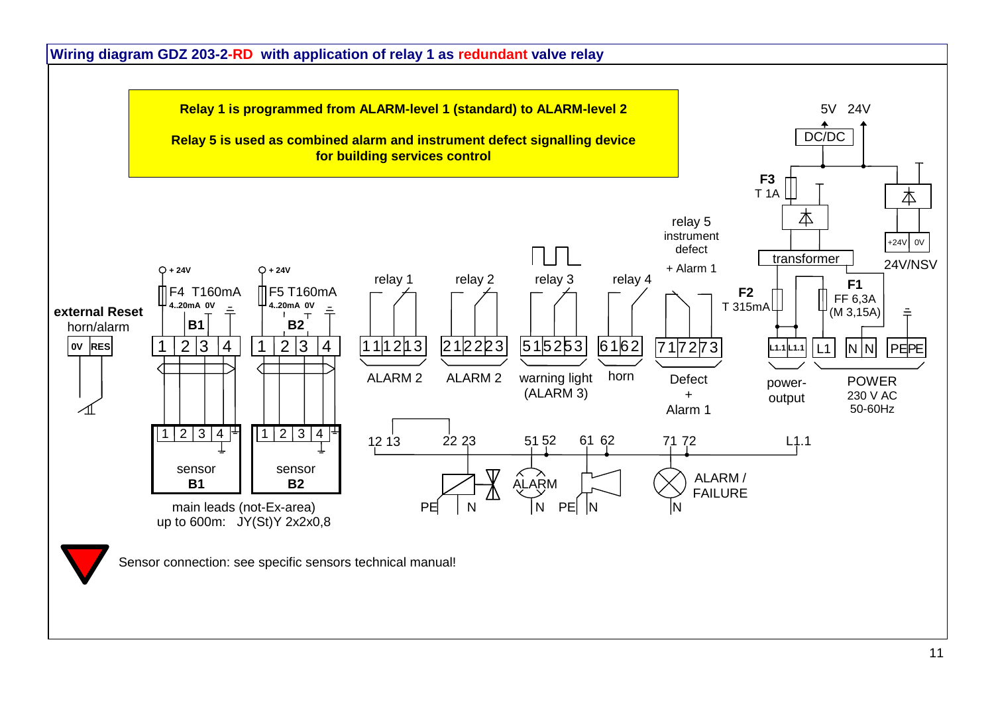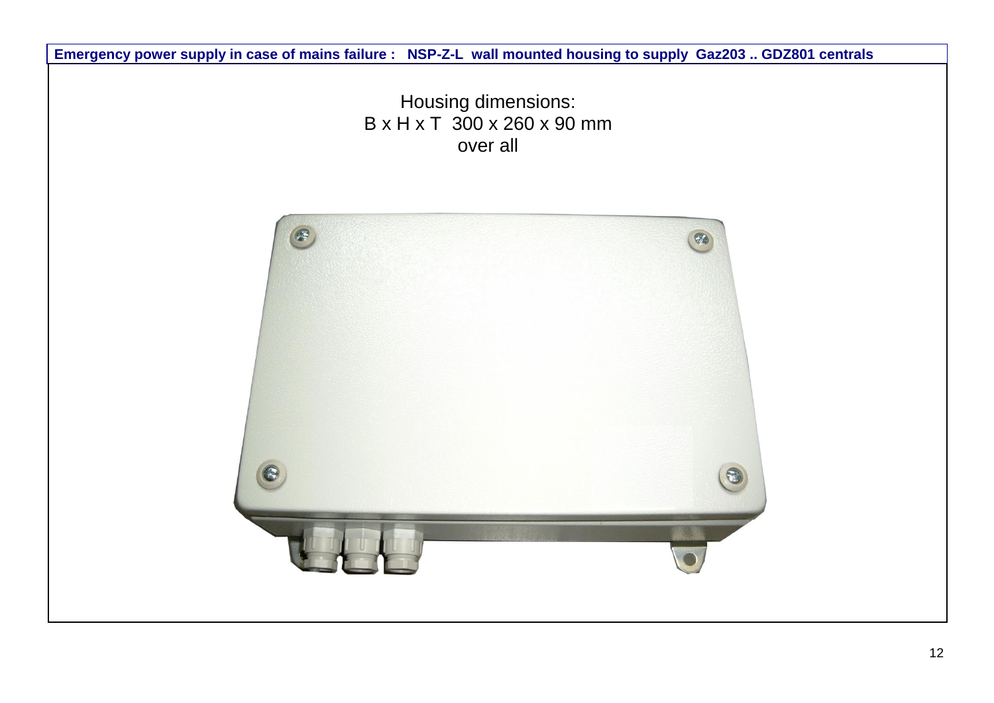